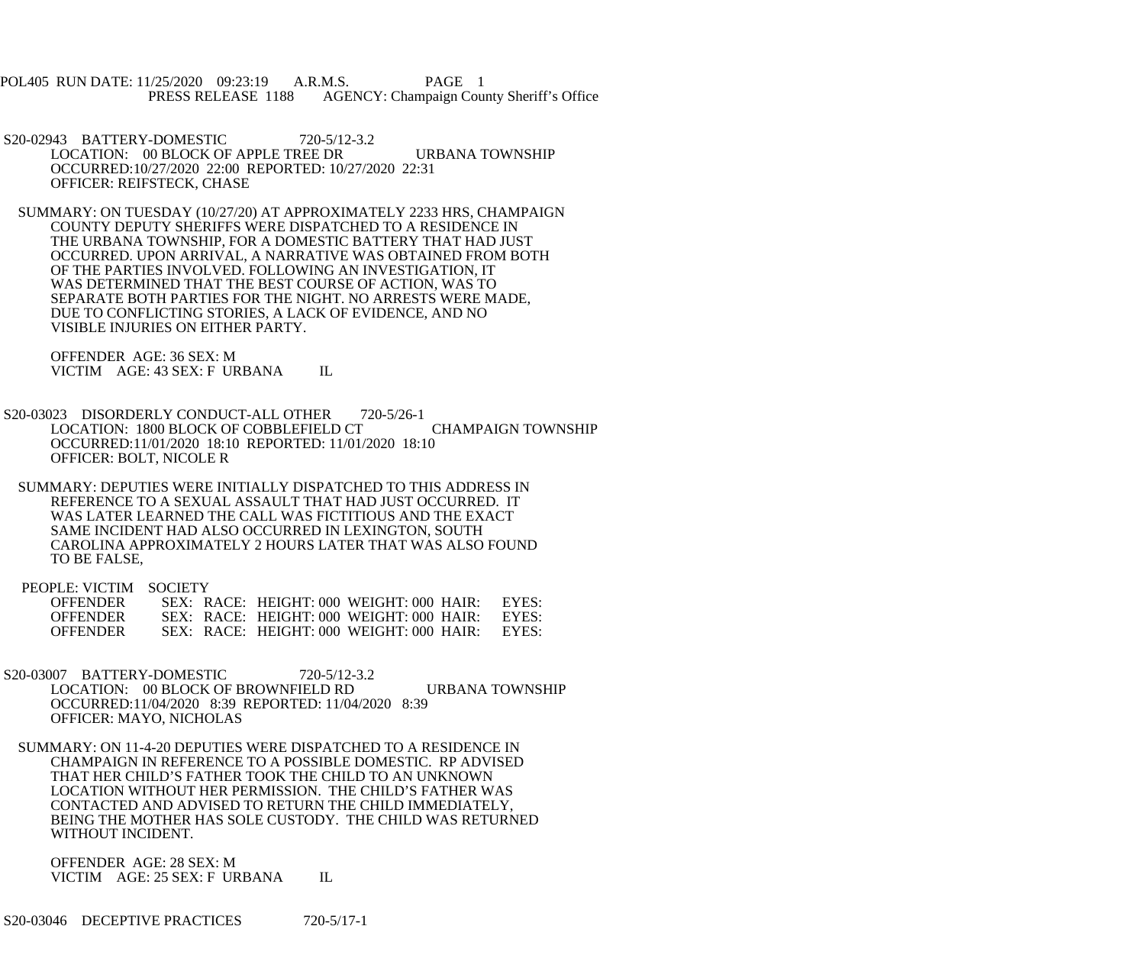POL405 RUN DATE: 11/25/2020 09:23:19 A.R.M.S. PAGE 1<br>PRESS RELEASE 1188 AGENCY: Champaign Cou AGENCY: Champaign County Sheriff's Office

- S20-02943 BATTERY-DOMESTIC 720-5/12-3.2 LOCATION: 00 BLOCK OF APPLE TREE DR URBANA TOWNSHIP OCCURRED:10/27/2020 22:00 REPORTED: 10/27/2020 22:31 OFFICER: REIFSTECK, CHASE
- SUMMARY: ON TUESDAY (10/27/20) AT APPROXIMATELY 2233 HRS, CHAMPAIGN COUNTY DEPUTY SHERIFFS WERE DISPATCHED TO A RESIDENCE IN THE URBANA TOWNSHIP, FOR A DOMESTIC BATTERY THAT HAD JUST OCCURRED. UPON ARRIVAL, A NARRATIVE WAS OBTAINED FROM BOTH OF THE PARTIES INVOLVED. FOLLOWING AN INVESTIGATION, IT WAS DETERMINED THAT THE BEST COURSE OF ACTION, WAS TO SEPARATE BOTH PARTIES FOR THE NIGHT. NO ARRESTS WERE MADE, DUE TO CONFLICTING STORIES, A LACK OF EVIDENCE, AND NO VISIBLE INJURIES ON EITHER PARTY.

 OFFENDER AGE: 36 SEX: M VICTIM AGE: 43 SEX: F URBANA IL

- S20-03023 DISORDERLY CONDUCT-ALL OTHER 720-5/26-1 LOCATION: 1800 BLOCK OF COBBLEFIELD CT CHAMPAIGN TOWNSHIP OCCURRED:11/01/2020 18:10 REPORTED: 11/01/2020 18:10 OFFICER: BOLT, NICOLE R
- SUMMARY: DEPUTIES WERE INITIALLY DISPATCHED TO THIS ADDRESS IN REFERENCE TO A SEXUAL ASSAULT THAT HAD JUST OCCURRED. IT WAS LATER LEARNED THE CALL WAS FICTITIOUS AND THE EXACT SAME INCIDENT HAD ALSO OCCURRED IN LEXINGTON, SOUTH CAROLINA APPROXIMATELY 2 HOURS LATER THAT WAS ALSO FOUND TO BE FALSE,

PEOPLE: VICTIM SOCIETY

| <b>OFFENDER</b> |  | SEX: RACE: HEIGHT: 000 WEIGHT: 000 HAIR: | EYES: |
|-----------------|--|------------------------------------------|-------|
| <b>OFFENDER</b> |  | SEX: RACE: HEIGHT: 000 WEIGHT: 000 HAIR: | EYES  |
| <b>OFFENDER</b> |  | SEX: RACE: HEIGHT: 000 WEIGHT: 000 HAIR: | EYES  |

- S20-03007 BATTERY-DOMESTIC 720-5/12-3.2 LOCATION: 00 BLOCK OF BROWNFIELD RD URBANA TOWNSHIP OCCURRED:11/04/2020 8:39 REPORTED: 11/04/2020 8:39 OFFICER: MAYO, NICHOLAS
- SUMMARY: ON 11-4-20 DEPUTIES WERE DISPATCHED TO A RESIDENCE IN CHAMPAIGN IN REFERENCE TO A POSSIBLE DOMESTIC. RP ADVISED THAT HER CHILD'S FATHER TOOK THE CHILD TO AN UNKNOWN LOCATION WITHOUT HER PERMISSION. THE CHILD'S FATHER WAS CONTACTED AND ADVISED TO RETURN THE CHILD IMMEDIATELY, BEING THE MOTHER HAS SOLE CUSTODY. THE CHILD WAS RETURNED WITHOUT INCIDENT.

 OFFENDER AGE: 28 SEX: M VICTIM AGE: 25 SEX: F URBANA IL